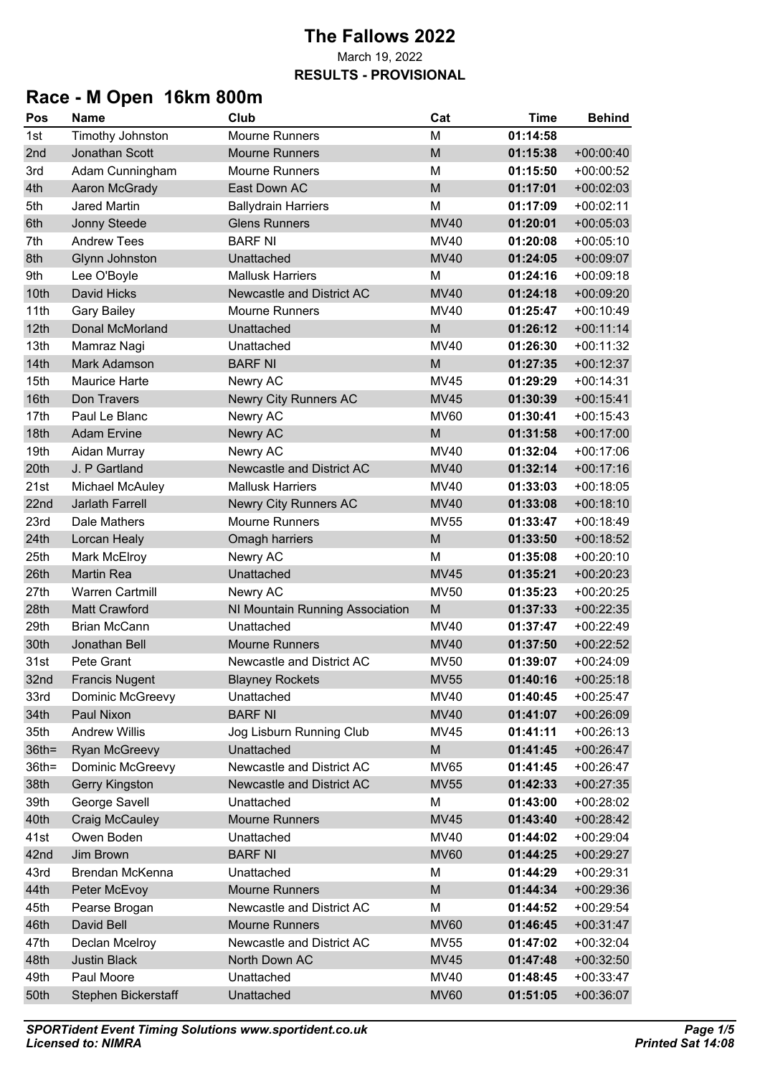## **Race - M Open 16km 800m**

| Pos      | <b>Name</b>            | Club                            | Cat         | <b>Time</b> | <b>Behind</b> |
|----------|------------------------|---------------------------------|-------------|-------------|---------------|
| 1st      | Timothy Johnston       | <b>Mourne Runners</b>           | M           | 01:14:58    |               |
| 2nd      | Jonathan Scott         | <b>Mourne Runners</b>           | M           | 01:15:38    | $+00:00:40$   |
| 3rd      | Adam Cunningham        | <b>Mourne Runners</b>           | M           | 01:15:50    | $+00:00:52$   |
| 4th      | Aaron McGrady          | East Down AC                    | M           | 01:17:01    | $+00:02:03$   |
| 5th      | <b>Jared Martin</b>    | <b>Ballydrain Harriers</b>      | M           | 01:17:09    | $+00:02:11$   |
| 6th      | Jonny Steede           | <b>Glens Runners</b>            | <b>MV40</b> | 01:20:01    | $+00:05:03$   |
| 7th      | <b>Andrew Tees</b>     | <b>BARF NI</b>                  | MV40        | 01:20:08    | $+00:05:10$   |
| 8th      | Glynn Johnston         | Unattached                      | <b>MV40</b> | 01:24:05    | $+00:09:07$   |
| 9th      | Lee O'Boyle            | <b>Mallusk Harriers</b>         | М           | 01:24:16    | $+00:09:18$   |
| 10th     | <b>David Hicks</b>     | Newcastle and District AC       | <b>MV40</b> | 01:24:18    | $+00:09:20$   |
| 11th     | <b>Gary Bailey</b>     | <b>Mourne Runners</b>           | <b>MV40</b> | 01:25:47    | $+00:10:49$   |
| 12th     | <b>Donal McMorland</b> | Unattached                      | M           | 01:26:12    | $+00:11:14$   |
| 13th     | Mamraz Nagi            | Unattached                      | <b>MV40</b> | 01:26:30    | $+00:11:32$   |
| 14th     | Mark Adamson           | <b>BARF NI</b>                  | M           | 01:27:35    | $+00:12:37$   |
| 15th     | <b>Maurice Harte</b>   | Newry AC                        | <b>MV45</b> | 01:29:29    | $+00:14:31$   |
| 16th     | Don Travers            | Newry City Runners AC           | <b>MV45</b> | 01:30:39    | $+00:15:41$   |
| 17th     | Paul Le Blanc          | Newry AC                        | <b>MV60</b> | 01:30:41    | $+00:15:43$   |
| 18th     | <b>Adam Ervine</b>     | Newry AC                        | M           | 01:31:58    | $+00:17:00$   |
| 19th     | Aidan Murray           | Newry AC                        | <b>MV40</b> | 01:32:04    | $+00:17:06$   |
| 20th     | J. P Gartland          | Newcastle and District AC       | <b>MV40</b> | 01:32:14    | $+00:17:16$   |
| 21st     | Michael McAuley        | <b>Mallusk Harriers</b>         | <b>MV40</b> | 01:33:03    | $+00:18:05$   |
| 22nd     | <b>Jarlath Farrell</b> | <b>Newry City Runners AC</b>    | <b>MV40</b> | 01:33:08    | $+00:18:10$   |
| 23rd     | Dale Mathers           | <b>Mourne Runners</b>           | <b>MV55</b> | 01:33:47    | $+00:18:49$   |
| 24th     | Lorcan Healy           | Omagh harriers                  | M           | 01:33:50    | $+00:18:52$   |
| 25th     | Mark McElroy           | Newry AC                        | M           | 01:35:08    | $+00:20:10$   |
| 26th     | <b>Martin Rea</b>      | Unattached                      | <b>MV45</b> | 01:35:21    | $+00:20:23$   |
| 27th     | <b>Warren Cartmill</b> | Newry AC                        | <b>MV50</b> | 01:35:23    | $+00:20:25$   |
| 28th     | <b>Matt Crawford</b>   | NI Mountain Running Association | M           | 01:37:33    | $+00:22:35$   |
| 29th     | <b>Brian McCann</b>    | Unattached                      | <b>MV40</b> | 01:37:47    | $+00:22:49$   |
| 30th     | Jonathan Bell          | <b>Mourne Runners</b>           | <b>MV40</b> | 01:37:50    | $+00:22:52$   |
| 31st     | Pete Grant             | Newcastle and District AC       | MV50        | 01:39:07    | $+00:24:09$   |
| 32nd     | <b>Francis Nugent</b>  | <b>Blayney Rockets</b>          | <b>MV55</b> | 01:40:16    | $+00:25:18$   |
| 33rd     | Dominic McGreevy       | Unattached                      | <b>MV40</b> | 01:40:45    | $+00:25:47$   |
| 34th     | Paul Nixon             | <b>BARF NI</b>                  | <b>MV40</b> | 01:41:07    | $+00:26:09$   |
| 35th     | <b>Andrew Willis</b>   | Jog Lisburn Running Club        | MV45        | 01:41:11    | $+00:26:13$   |
| $36th =$ | <b>Ryan McGreevy</b>   | Unattached                      | M           | 01:41:45    | $+00:26:47$   |
| $36th =$ | Dominic McGreevy       | Newcastle and District AC       | <b>MV65</b> | 01:41:45    | $+00:26:47$   |
| 38th     | <b>Gerry Kingston</b>  | Newcastle and District AC       | <b>MV55</b> | 01:42:33    | $+00:27:35$   |
| 39th     | George Savell          | Unattached                      | M           | 01:43:00    | $+00:28:02$   |
| 40th     | Craig McCauley         | <b>Mourne Runners</b>           | <b>MV45</b> | 01:43:40    | $+00:28:42$   |
| 41st     | Owen Boden             | Unattached                      | MV40        | 01:44:02    | $+00:29:04$   |
| 42nd     | Jim Brown              | <b>BARF NI</b>                  | <b>MV60</b> | 01:44:25    | $+00:29:27$   |
| 43rd     | Brendan McKenna        | Unattached                      | М           | 01:44:29    | $+00:29:31$   |
| 44th     | Peter McEvoy           | <b>Mourne Runners</b>           | ${\sf M}$   | 01:44:34    | $+00:29:36$   |
| 45th     | Pearse Brogan          | Newcastle and District AC       | M           | 01:44:52    | $+00:29:54$   |
| 46th     | David Bell             | <b>Mourne Runners</b>           | <b>MV60</b> | 01:46:45    | $+00:31:47$   |
| 47th     | Declan Mcelroy         | Newcastle and District AC       | MV55        | 01:47:02    | $+00:32:04$   |
| 48th     | <b>Justin Black</b>    | North Down AC                   | <b>MV45</b> | 01:47:48    | $+00:32:50$   |
| 49th     | Paul Moore             | Unattached                      | <b>MV40</b> | 01:48:45    | $+00:33:47$   |
| 50th     | Stephen Bickerstaff    | Unattached                      | <b>MV60</b> | 01:51:05    | $+00:36:07$   |
|          |                        |                                 |             |             |               |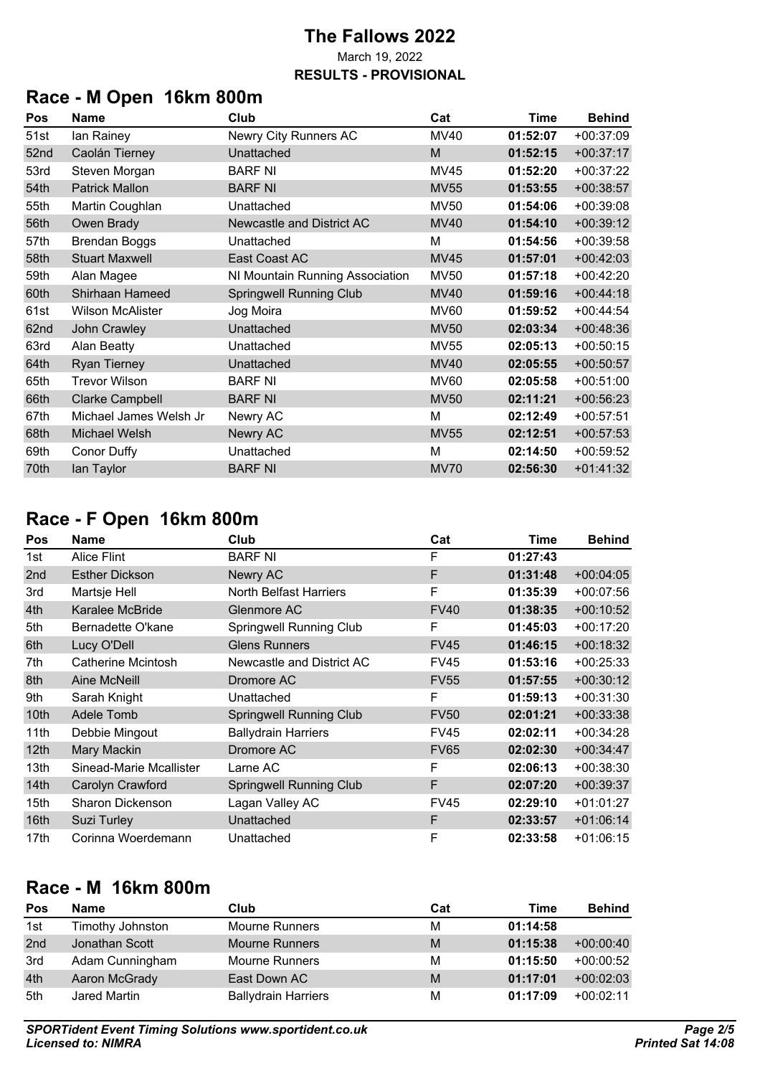# **Race - M Open 16km 800m**

| Pos  | <b>Name</b>             | Club                            | Cat         | <b>Time</b> | <b>Behind</b> |
|------|-------------------------|---------------------------------|-------------|-------------|---------------|
| 51st | lan Rainey              | Newry City Runners AC           | <b>MV40</b> | 01:52:07    | $+00:37:09$   |
| 52nd | Caolán Tierney          | Unattached                      | M           | 01:52:15    | $+00:37:17$   |
| 53rd | Steven Morgan           | <b>BARF NI</b>                  | MV45        | 01:52:20    | $+00:37:22$   |
| 54th | <b>Patrick Mallon</b>   | <b>BARF NI</b>                  | <b>MV55</b> | 01:53:55    | $+00:38:57$   |
| 55th | Martin Coughlan         | Unattached                      | <b>MV50</b> | 01:54:06    | $+00:39:08$   |
| 56th | Owen Brady              | Newcastle and District AC       | <b>MV40</b> | 01:54:10    | $+00:39:12$   |
| 57th | <b>Brendan Boggs</b>    | Unattached                      | M           | 01:54:56    | $+00:39:58$   |
| 58th | <b>Stuart Maxwell</b>   | East Coast AC                   | <b>MV45</b> | 01:57:01    | $+00:42:03$   |
| 59th | Alan Magee              | NI Mountain Running Association | <b>MV50</b> | 01:57:18    | $+00:42:20$   |
| 60th | Shirhaan Hameed         | <b>Springwell Running Club</b>  | <b>MV40</b> | 01:59:16    | $+00:44:18$   |
| 61st | <b>Wilson McAlister</b> | Jog Moira                       | <b>MV60</b> | 01:59:52    | $+00:44:54$   |
| 62nd | John Crawley            | Unattached                      | <b>MV50</b> | 02:03:34    | $+00:48:36$   |
| 63rd | <b>Alan Beatty</b>      | Unattached                      | <b>MV55</b> | 02:05:13    | $+00:50:15$   |
| 64th | <b>Ryan Tierney</b>     | Unattached                      | <b>MV40</b> | 02:05:55    | $+00:50:57$   |
| 65th | <b>Trevor Wilson</b>    | <b>BARF NI</b>                  | <b>MV60</b> | 02:05:58    | $+00:51:00$   |
| 66th | <b>Clarke Campbell</b>  | <b>BARF NI</b>                  | <b>MV50</b> | 02:11:21    | $+00:56:23$   |
| 67th | Michael James Welsh Jr  | Newry AC                        | M           | 02:12:49    | $+00:57:51$   |
| 68th | Michael Welsh           | Newry AC                        | <b>MV55</b> | 02:12:51    | $+00:57:53$   |
| 69th | <b>Conor Duffy</b>      | Unattached                      | M           | 02:14:50    | $+00:59:52$   |
| 70th | lan Taylor              | <b>BARF NI</b>                  | <b>MV70</b> | 02:56:30    | $+01:41:32$   |

## **Race - F Open 16km 800m**

| Pos              | <b>Name</b>               | Club                           | Cat         | <b>Time</b> | <b>Behind</b> |
|------------------|---------------------------|--------------------------------|-------------|-------------|---------------|
| 1st              | <b>Alice Flint</b>        | <b>BARF NI</b>                 | F           | 01:27:43    |               |
| 2nd              | <b>Esther Dickson</b>     | Newry AC                       | F           | 01:31:48    | $+00:04:05$   |
| 3rd              | Martsje Hell              | <b>North Belfast Harriers</b>  | F           | 01:35:39    | $+00:07:56$   |
| 4th              | Karalee McBride           | Glenmore AC                    | <b>FV40</b> | 01:38:35    | $+00:10:52$   |
| 5th              | Bernadette O'kane         | <b>Springwell Running Club</b> | F           | 01:45:03    | $+00:17:20$   |
| 6th              | Lucy O'Dell               | <b>Glens Runners</b>           | <b>FV45</b> | 01:46:15    | $+00:18:32$   |
| 7th              | <b>Catherine Mcintosh</b> | Newcastle and District AC      | <b>FV45</b> | 01:53:16    | $+00:25:33$   |
| 8th              | <b>Aine McNeill</b>       | Dromore AC                     | <b>FV55</b> | 01:57:55    | $+00:30:12$   |
| 9th              | Sarah Knight              | Unattached                     | F           | 01:59:13    | $+00:31:30$   |
| 10th             | <b>Adele Tomb</b>         | <b>Springwell Running Club</b> | <b>FV50</b> | 02:01:21    | $+00:33:38$   |
| 11th             | Debbie Mingout            | <b>Ballydrain Harriers</b>     | <b>FV45</b> | 02:02:11    | $+00:34:28$   |
| 12 <sub>th</sub> | Mary Mackin               | Dromore AC                     | <b>FV65</b> | 02:02:30    | $+00:34:47$   |
| 13 <sub>th</sub> | Sinead-Marie Mcallister   | Larne AC                       | F           | 02:06:13    | $+00:38:30$   |
| 14 <sub>th</sub> | Carolyn Crawford          | <b>Springwell Running Club</b> | F           | 02:07:20    | $+00:39:37$   |
| 15 <sub>th</sub> | Sharon Dickenson          | Lagan Valley AC                | <b>FV45</b> | 02:29:10    | $+01:01:27$   |
| 16th             | Suzi Turley               | Unattached                     | F           | 02:33:57    | $+01:06:14$   |
| 17th             | Corinna Woerdemann        | Unattached                     | F           | 02:33:58    | $+01:06:15$   |

### **Race - M 16km 800m**

| Pos | <b>Name</b>      | Club                       | Cat | Time     | <b>Behind</b> |
|-----|------------------|----------------------------|-----|----------|---------------|
| 1st | Timothy Johnston | <b>Mourne Runners</b>      | М   | 01:14:58 |               |
| 2nd | Jonathan Scott   | <b>Mourne Runners</b>      | M   | 01:15:38 | $+00:00:40$   |
| 3rd | Adam Cunningham  | <b>Mourne Runners</b>      | M   | 01:15:50 | $+00:00:52$   |
| 4th | Aaron McGrady    | East Down AC               | M   | 01:17:01 | $+00:02:03$   |
| 5th | Jared Martin     | <b>Ballydrain Harriers</b> | М   | 01:17:09 | $+00:02:11$   |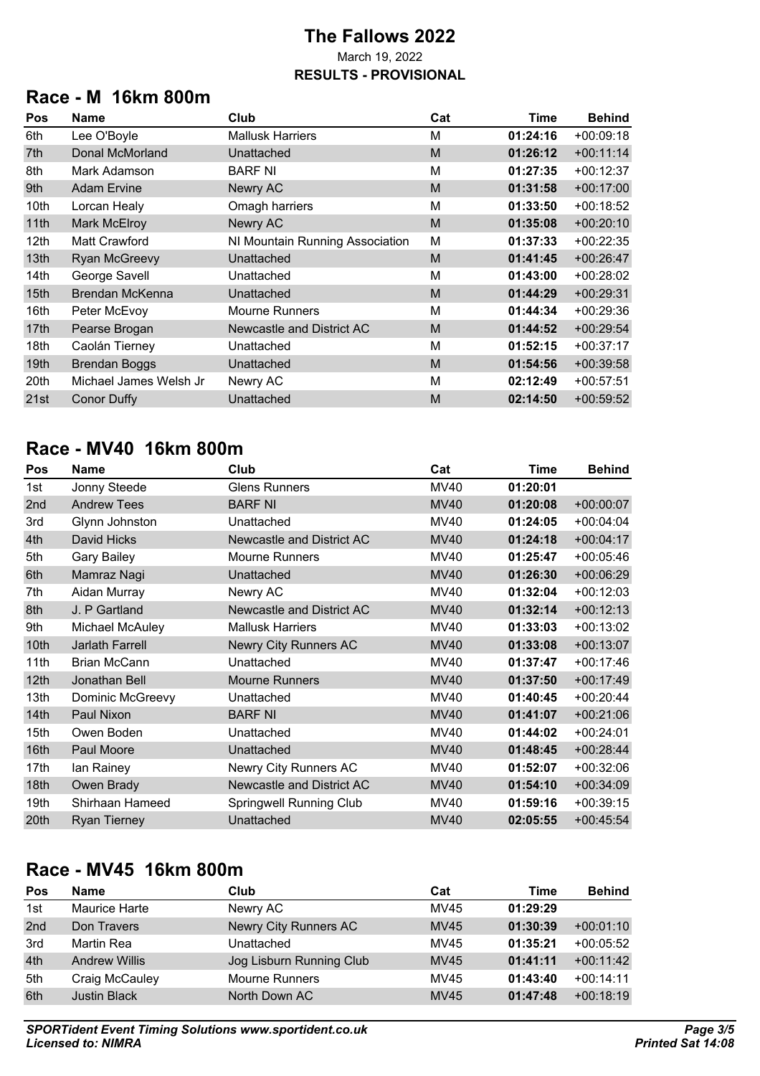## **Race - M 16km 800m**

| Pos              | Name                   | Club                            | Cat | <b>Time</b> | <b>Behind</b> |
|------------------|------------------------|---------------------------------|-----|-------------|---------------|
| 6th              | Lee O'Boyle            | <b>Mallusk Harriers</b>         | M   | 01:24:16    | $+00:09:18$   |
| 7th              | Donal McMorland        | Unattached                      | M   | 01:26:12    | $+00:11:14$   |
| 8th              | Mark Adamson           | <b>BARF NI</b>                  | M   | 01:27:35    | $+00:12:37$   |
| 9th              | <b>Adam Ervine</b>     | Newry AC                        | M   | 01:31:58    | $+00:17:00$   |
| 10th             | Lorcan Healy           | Omagh harriers                  | M   | 01:33:50    | $+00:18:52$   |
| 11th             | <b>Mark McElroy</b>    | Newry AC                        | M   | 01:35:08    | $+00:20:10$   |
| 12th             | <b>Matt Crawford</b>   | NI Mountain Running Association | M   | 01:37:33    | $+00:22:35$   |
| 13th             | <b>Ryan McGreevy</b>   | Unattached                      | M   | 01:41:45    | $+00:26:47$   |
| 14th             | George Savell          | Unattached                      | M   | 01:43:00    | $+00:28:02$   |
| 15 <sub>th</sub> | Brendan McKenna        | Unattached                      | M   | 01:44:29    | $+00:29:31$   |
| 16th             | Peter McEvoy           | <b>Mourne Runners</b>           | M   | 01:44:34    | $+00:29:36$   |
| 17th             | Pearse Brogan          | Newcastle and District AC       | M   | 01:44:52    | $+00:29:54$   |
| 18th             | Caolán Tierney         | Unattached                      | M   | 01:52:15    | $+00:37:17$   |
| 19 <sub>th</sub> | <b>Brendan Boggs</b>   | Unattached                      | M   | 01:54:56    | $+00:39:58$   |
| 20th             | Michael James Welsh Jr | Newry AC                        | M   | 02:12:49    | $+00:57:51$   |
| 21st             | Conor Duffy            | Unattached                      | M   | 02:14:50    | $+00:59:52$   |

## **Race - MV40 16km 800m**

| Pos              | Name                | Club                           | Cat         | Time     | <b>Behind</b> |
|------------------|---------------------|--------------------------------|-------------|----------|---------------|
| 1st              | Jonny Steede        | <b>Glens Runners</b>           | <b>MV40</b> | 01:20:01 |               |
| 2nd              | <b>Andrew Tees</b>  | <b>BARF NI</b>                 | <b>MV40</b> | 01:20:08 | $+00:00:07$   |
| 3rd              | Glynn Johnston      | Unattached                     | <b>MV40</b> | 01:24:05 | $+00:04:04$   |
| 4th              | David Hicks         | Newcastle and District AC      | <b>MV40</b> | 01:24:18 | $+00:04:17$   |
| 5th              | <b>Gary Bailey</b>  | <b>Mourne Runners</b>          | MV40        | 01:25:47 | $+00:05:46$   |
| 6th              | Mamraz Nagi         | Unattached                     | <b>MV40</b> | 01:26:30 | $+00:06:29$   |
| 7th              | Aidan Murray        | Newry AC                       | MV40        | 01:32:04 | $+00:12:03$   |
| 8th              | J. P Gartland       | Newcastle and District AC      | <b>MV40</b> | 01:32:14 | $+00:12:13$   |
| 9th              | Michael McAuley     | <b>Mallusk Harriers</b>        | <b>MV40</b> | 01:33:03 | $+00:13:02$   |
| 10th             | Jarlath Farrell     | <b>Newry City Runners AC</b>   | <b>MV40</b> | 01:33:08 | $+00:13:07$   |
| 11th             | <b>Brian McCann</b> | Unattached                     | MV40        | 01:37:47 | $+00:17:46$   |
| 12 <sub>th</sub> | Jonathan Bell       | <b>Mourne Runners</b>          | <b>MV40</b> | 01:37:50 | $+00:17:49$   |
| 13th             | Dominic McGreevy    | Unattached                     | MV40        | 01:40:45 | $+00:20:44$   |
| 14th             | Paul Nixon          | <b>BARF NI</b>                 | <b>MV40</b> | 01:41:07 | $+00:21:06$   |
| 15th             | Owen Boden          | Unattached                     | <b>MV40</b> | 01:44:02 | $+00:24:01$   |
| 16 <sub>th</sub> | Paul Moore          | Unattached                     | <b>MV40</b> | 01:48:45 | $+00:28:44$   |
| 17th             | lan Rainey          | Newry City Runners AC          | MV40        | 01:52:07 | $+00:32:06$   |
| 18th             | Owen Brady          | Newcastle and District AC      | <b>MV40</b> | 01:54:10 | $+00:34:09$   |
| 19th             | Shirhaan Hameed     | <b>Springwell Running Club</b> | MV40        | 01:59:16 | $+00:39:15$   |
| 20th             | <b>Ryan Tierney</b> | Unattached                     | <b>MV40</b> | 02:05:55 | $+00:45:54$   |

## **Race - MV45 16km 800m**

| Pos             | <b>Name</b>          | Club                     | Cat         | Time     | <b>Behind</b> |
|-----------------|----------------------|--------------------------|-------------|----------|---------------|
| 1st             | Maurice Harte        | Newry AC                 | MV45        | 01:29:29 |               |
| 2 <sub>nd</sub> | Don Travers          | Newry City Runners AC    | <b>MV45</b> | 01:30:39 | $+00:01:10$   |
| 3rd             | Martin Rea           | Unattached               | MV45        | 01:35:21 | $+00:05:52$   |
| 4th             | <b>Andrew Willis</b> | Jog Lisburn Running Club | <b>MV45</b> | 01:41:11 | $+00:11:42$   |
| 5th             | Craig McCauley       | <b>Mourne Runners</b>    | MV45        | 01:43:40 | $+00:14:11$   |
| 6th             | <b>Justin Black</b>  | North Down AC            | <b>MV45</b> | 01:47:48 | $+00:18:19$   |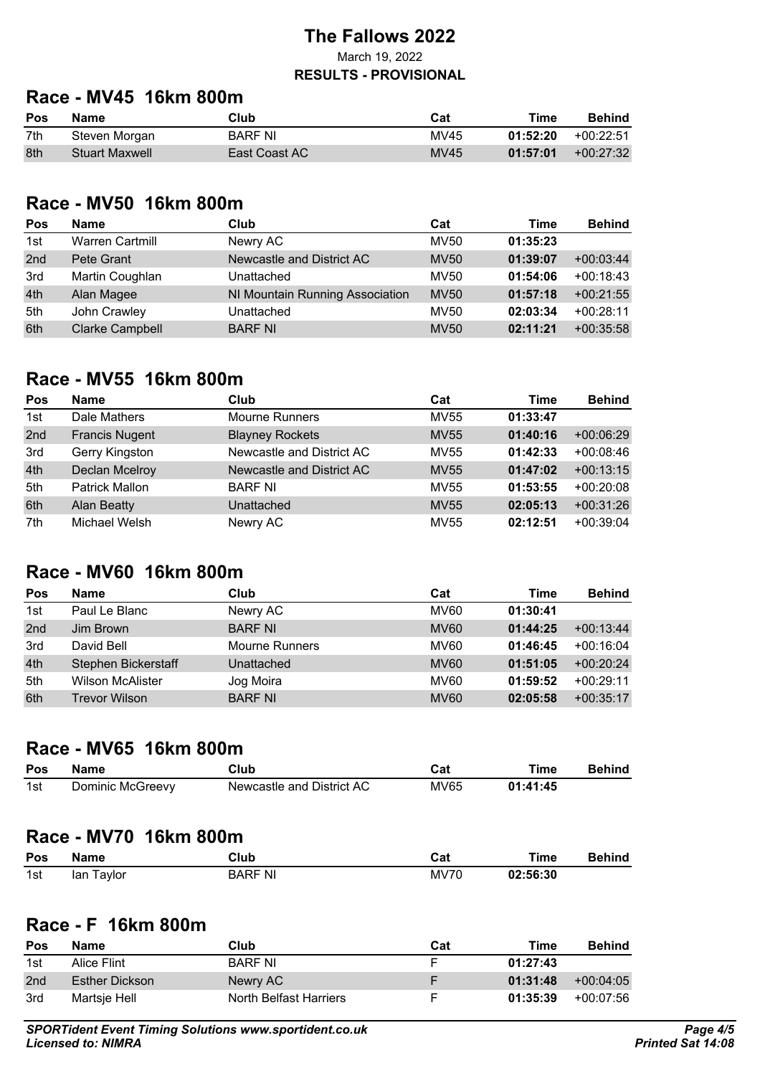## **Race - MV45 16km 800m**

| Pos | Name                  | Club          | Cat         | Time     | Behind      |
|-----|-----------------------|---------------|-------------|----------|-------------|
| 7th | Steven Morgan         | BARF NI       | MV45        | 01:52:20 | $+00:22:51$ |
| 8th | <b>Stuart Maxwell</b> | East Coast AC | <b>MV45</b> | 01:57:01 | $+00:27:32$ |

#### **Race - MV50 16km 800m**

| Pos             | <b>Name</b>            | Club                            | Cat         | Time     | <b>Behind</b> |
|-----------------|------------------------|---------------------------------|-------------|----------|---------------|
| 1st             | <b>Warren Cartmill</b> | Newry AC                        | <b>MV50</b> | 01:35:23 |               |
| 2 <sub>nd</sub> | Pete Grant             | Newcastle and District AC       | <b>MV50</b> | 01:39:07 | $+00:03:44$   |
| 3rd             | Martin Coughlan        | Unattached                      | MV50        | 01:54:06 | $+00:18:43$   |
| 4th             | Alan Magee             | NI Mountain Running Association | <b>MV50</b> | 01:57:18 | $+00:21:55$   |
| 5th             | John Crawley           | Unattached                      | MV50        | 02:03:34 | $+00:28:11$   |
| 6th             | <b>Clarke Campbell</b> | <b>BARF NI</b>                  | <b>MV50</b> | 02:11:21 | $+00:35:58$   |

### **Race - MV55 16km 800m**

| <b>Pos</b> | <b>Name</b>           | Club                      | Cat         | Time     | <b>Behind</b> |
|------------|-----------------------|---------------------------|-------------|----------|---------------|
| 1st        | Dale Mathers          | <b>Mourne Runners</b>     | <b>MV55</b> | 01:33:47 |               |
| 2nd        | <b>Francis Nugent</b> | <b>Blayney Rockets</b>    | <b>MV55</b> | 01:40:16 | $+00:06:29$   |
| 3rd        | Gerry Kingston        | Newcastle and District AC | MV55        | 01:42:33 | $+00:08:46$   |
| 4th        | <b>Declan Mcelroy</b> | Newcastle and District AC | <b>MV55</b> | 01:47:02 | $+00:13:15$   |
| 5th        | <b>Patrick Mallon</b> | <b>BARF NI</b>            | MV55        | 01:53:55 | $+00:20:08$   |
| 6th        | <b>Alan Beatty</b>    | Unattached                | <b>MV55</b> | 02:05:13 | $+00:31:26$   |
| 7th        | Michael Welsh         | Newry AC                  | MV55        | 02:12:51 | $+00:39:04$   |

#### **Race - MV60 16km 800m**

| <b>Pos</b>      | Name                    | Club                  | Cat         | Time     | <b>Behind</b> |
|-----------------|-------------------------|-----------------------|-------------|----------|---------------|
| 1st             | Paul Le Blanc           | Newry AC              | <b>MV60</b> | 01:30:41 |               |
| 2 <sub>nd</sub> | Jim Brown               | <b>BARF NI</b>        | <b>MV60</b> | 01:44:25 | $+00:13:44$   |
| 3rd             | David Bell              | <b>Mourne Runners</b> | <b>MV60</b> | 01:46:45 | $+00:16:04$   |
| 4th             | Stephen Bickerstaff     | Unattached            | <b>MV60</b> | 01:51:05 | $+00:20:24$   |
| 5th             | <b>Wilson McAlister</b> | Jog Moira             | <b>MV60</b> | 01:59:52 | $+00:29:11$   |
| 6th             | <b>Trevor Wilson</b>    | <b>BARF NI</b>        | <b>MV60</b> | 02:05:58 | $+00:35:17$   |

#### **Race - MV65 16km 800m**

| Pos | Name             | Club                      | ™ot  | Time     | Behind |
|-----|------------------|---------------------------|------|----------|--------|
| 1st | Dominic McGreevy | Newcastle and District AC | MV65 | 01:41:45 |        |

## **Race - MV70 16km 800m**

| Pos | Name       | Club           | Cat         | Time     | <b>Behind</b> |
|-----|------------|----------------|-------------|----------|---------------|
| 1st | lan Taylor | <b>BARF NI</b> | <b>MV70</b> | 02:56:30 |               |

### **Race - F 16km 800m**

| <b>Pos</b>      | Name           | Club                   | Cat | Time     | <b>Behind</b> |
|-----------------|----------------|------------------------|-----|----------|---------------|
| 1st             | Alice Flint    | <b>BARF NI</b>         |     | 01:27:43 |               |
| 2 <sub>nd</sub> | Esther Dickson | Newry AC               | F   | 01:31:48 | $+00:04:05$   |
| 3rd             | Martsje Hell   | North Belfast Harriers | F   | 01:35:39 | +00:07:56     |